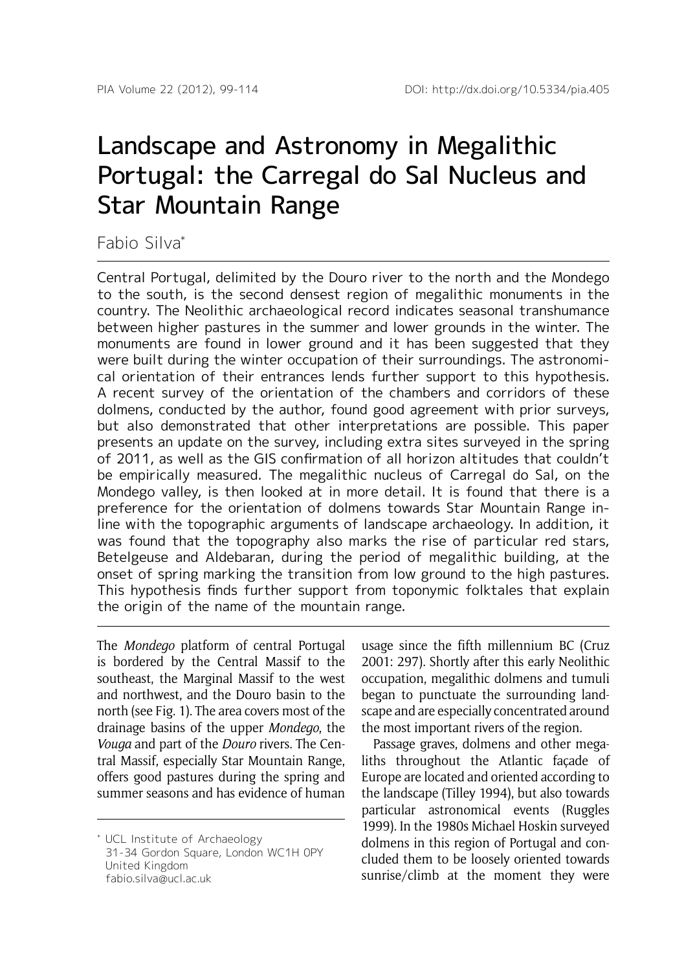# Landscape and Astronomy in Megalithic Portugal: the Carregal do Sal Nucleus and Star Mountain Range

Fabio Silva\*

Central Portugal, delimited by the Douro river to the north and the Mondego to the south, is the second densest region of megalithic monuments in the country. The Neolithic archaeological record indicates seasonal transhumance between higher pastures in the summer and lower grounds in the winter. The monuments are found in lower ground and it has been suggested that they were built during the winter occupation of their surroundings. The astronomical orientation of their entrances lends further support to this hypothesis. A recent survey of the orientation of the chambers and corridors of these dolmens, conducted by the author, found good agreement with prior surveys, but also demonstrated that other interpretations are possible. This paper presents an update on the survey, including extra sites surveyed in the spring of 2011, as well as the GIS confirmation of all horizon altitudes that couldn't be empirically measured. The megalithic nucleus of Carregal do Sal, on the Mondego valley, is then looked at in more detail. It is found that there is a preference for the orientation of dolmens towards Star Mountain Range inline with the topographic arguments of landscape archaeology. In addition, it was found that the topography also marks the rise of particular red stars, Betelgeuse and Aldebaran, during the period of megalithic building, at the onset of spring marking the transition from low ground to the high pastures. This hypothesis finds further support from toponymic folktales that explain the origin of the name of the mountain range.

The *Mondego* platform of central Portugal is bordered by the Central Massif to the southeast, the Marginal Massif to the west and northwest, and the Douro basin to the north (see Fig. 1). The area covers most of the drainage basins of the upper *Mondego*, the *Vouga* and part of the *Douro* rivers. The Central Massif, especially Star Mountain Range, offers good pastures during the spring and summer seasons and has evidence of human

usage since the fifth millennium BC (Cruz 2001: 297). Shortly after this early Neolithic occupation, megalithic dolmens and tumuli began to punctuate the surrounding landscape and are especially concentrated around the most important rivers of the region.

Passage graves, dolmens and other megaliths throughout the Atlantic façade of Europe are located and oriented according to the landscape (Tilley 1994), but also towards particular astronomical events (Ruggles 1999). In the 1980s Michael Hoskin surveyed dolmens in this region of Portugal and concluded them to be loosely oriented towards sunrise/climb at the moment they were

<sup>\*</sup> UCL Institute of Archaeology 31-34 Gordon Square, London WC1H 0PY United Kingdom fabio.silva@ucl.ac.uk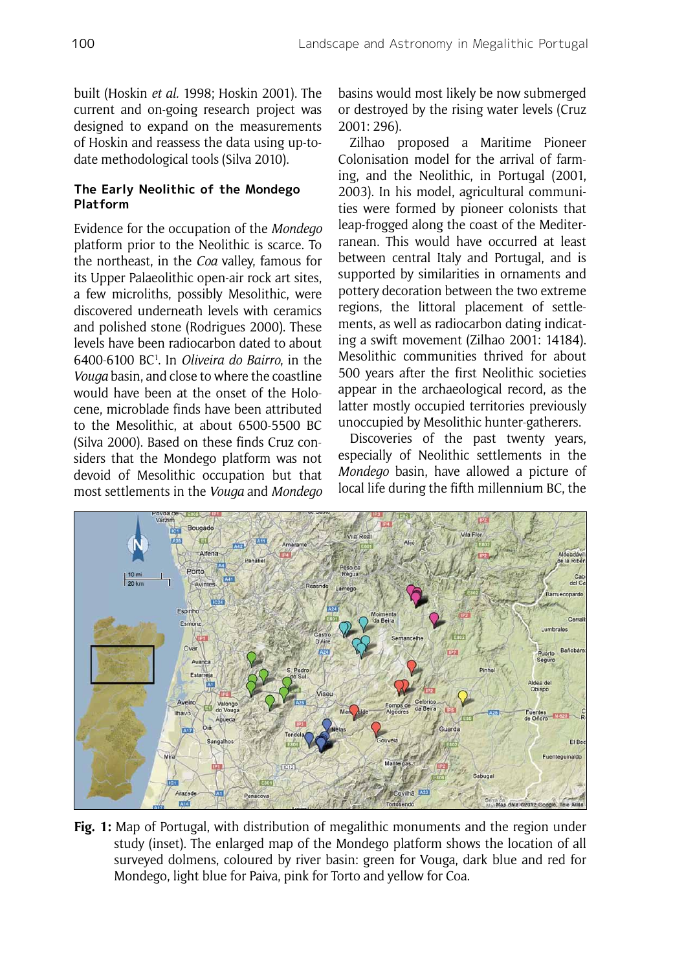built (Hoskin *et al.* 1998; Hoskin 2001). The current and on-going research project was designed to expand on the measurements of Hoskin and reassess the data using up-todate methodological tools (Silva 2010).

# **The Early Neolithic of the Mondego Platform**

Evidence for the occupation of the *Mondego* platform prior to the Neolithic is scarce. To the northeast, in the *Coa* valley, famous for its Upper Palaeolithic open-air rock art sites, a few microliths, possibly Mesolithic, were discovered underneath levels with ceramics and polished stone (Rodrigues 2000). These levels have been radiocarbon dated to about 6400-6100 BC1 . In *Oliveira do Bairro*, in the *Vouga* basin, and close to where the coastline would have been at the onset of the Holocene, microblade finds have been attributed to the Mesolithic, at about 6500-5500 BC (Silva 2000). Based on these finds Cruz considers that the Mondego platform was not devoid of Mesolithic occupation but that most settlements in the *Vouga* and *Mondego*

basins would most likely be now submerged or destroyed by the rising water levels (Cruz 2001: 296).

Zilhao proposed a Maritime Pioneer Colonisation model for the arrival of farming, and the Neolithic, in Portugal (2001, 2003). In his model, agricultural communities were formed by pioneer colonists that leap-frogged along the coast of the Mediterranean. This would have occurred at least between central Italy and Portugal, and is supported by similarities in ornaments and pottery decoration between the two extreme regions, the littoral placement of settlements, as well as radiocarbon dating indicating a swift movement (Zilhao 2001: 14184). Mesolithic communities thrived for about 500 years after the first Neolithic societies appear in the archaeological record, as the latter mostly occupied territories previously unoccupied by Mesolithic hunter-gatherers.

Discoveries of the past twenty years, especially of Neolithic settlements in the *Mondego* basin, have allowed a picture of local life during the fifth millennium BC, the



**Fig. 1:** Map of Portugal, with distribution of megalithic monuments and the region under study (inset). The enlarged map of the Mondego platform shows the location of all surveyed dolmens, coloured by river basin: green for Vouga, dark blue and red for Mondego, light blue for Paiva, pink for Torto and yellow for Coa.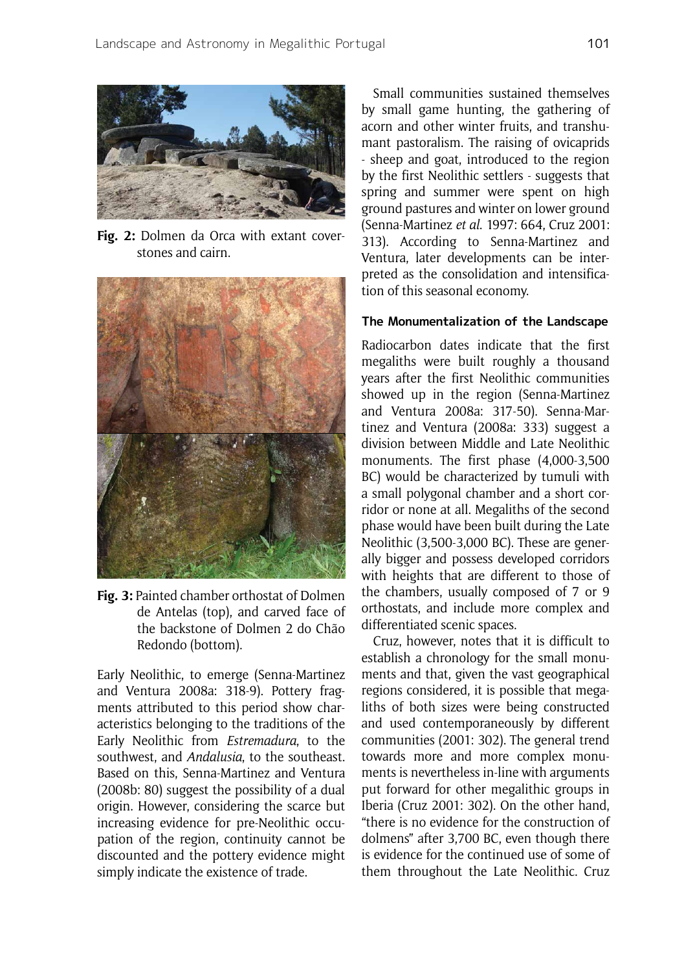

**Fig. 2:** Dolmen da Orca with extant coverstones and cairn.



**Fig. 3:** Painted chamber orthostat of Dolmen de Antelas (top), and carved face of the backstone of Dolmen 2 do Chão Redondo (bottom).

Early Neolithic, to emerge (Senna-Martinez and Ventura 2008a: 318-9). Pottery fragments attributed to this period show characteristics belonging to the traditions of the Early Neolithic from *Estremadura*, to the southwest, and *Andalusia*, to the southeast. Based on this, Senna-Martinez and Ventura (2008b: 80) suggest the possibility of a dual origin. However, considering the scarce but increasing evidence for pre-Neolithic occupation of the region, continuity cannot be discounted and the pottery evidence might simply indicate the existence of trade.

Small communities sustained themselves by small game hunting, the gathering of acorn and other winter fruits, and transhumant pastoralism. The raising of ovicaprids - sheep and goat, introduced to the region by the first Neolithic settlers - suggests that spring and summer were spent on high ground pastures and winter on lower ground (Senna-Martinez *et al*. 1997: 664, Cruz 2001: 313). According to Senna-Martinez and Ventura, later developments can be interpreted as the consolidation and intensification of this seasonal economy.

### **The Monumentalization of the Landscape**

Radiocarbon dates indicate that the first megaliths were built roughly a thousand years after the first Neolithic communities showed up in the region (Senna-Martinez and Ventura 2008a: 317-50). Senna-Martinez and Ventura (2008a: 333) suggest a division between Middle and Late Neolithic monuments. The first phase (4,000-3,500 BC) would be characterized by tumuli with a small polygonal chamber and a short corridor or none at all. Megaliths of the second phase would have been built during the Late Neolithic (3,500-3,000 BC). These are generally bigger and possess developed corridors with heights that are different to those of the chambers, usually composed of 7 or 9 orthostats, and include more complex and differentiated scenic spaces.

Cruz, however, notes that it is difficult to establish a chronology for the small monuments and that, given the vast geographical regions considered, it is possible that megaliths of both sizes were being constructed and used contemporaneously by different communities (2001: 302). The general trend towards more and more complex monuments is nevertheless in-line with arguments put forward for other megalithic groups in Iberia (Cruz 2001: 302). On the other hand, "there is no evidence for the construction of dolmens" after 3,700 BC, even though there is evidence for the continued use of some of them throughout the Late Neolithic. Cruz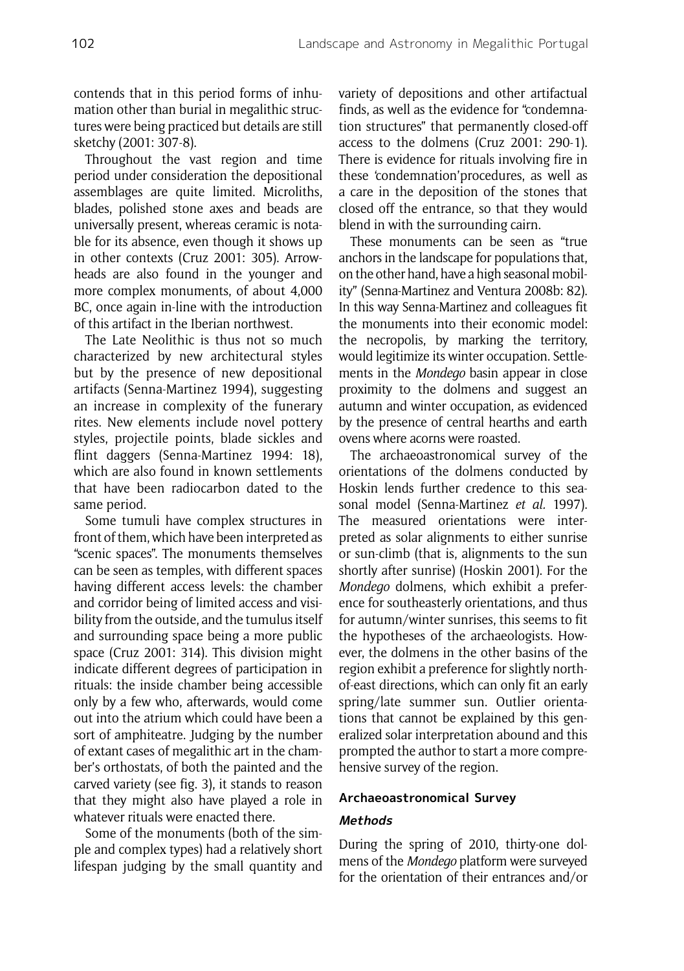contends that in this period forms of inhumation other than burial in megalithic structures were being practiced but details are still sketchy (2001: 307-8).

Throughout the vast region and time period under consideration the depositional assemblages are quite limited. Microliths, blades, polished stone axes and beads are universally present, whereas ceramic is notable for its absence, even though it shows up in other contexts (Cruz 2001: 305). Arrowheads are also found in the younger and more complex monuments, of about 4,000 BC, once again in-line with the introduction of this artifact in the Iberian northwest.

The Late Neolithic is thus not so much characterized by new architectural styles but by the presence of new depositional artifacts (Senna-Martinez 1994), suggesting an increase in complexity of the funerary rites. New elements include novel pottery styles, projectile points, blade sickles and flint daggers (Senna-Martinez 1994: 18), which are also found in known settlements that have been radiocarbon dated to the same period.

Some tumuli have complex structures in front of them, which have been interpreted as "scenic spaces". The monuments themselves can be seen as temples, with different spaces having different access levels: the chamber and corridor being of limited access and visibility from the outside, and the tumulus itself and surrounding space being a more public space (Cruz 2001: 314). This division might indicate different degrees of participation in rituals: the inside chamber being accessible only by a few who, afterwards, would come out into the atrium which could have been a sort of amphiteatre. Judging by the number of extant cases of megalithic art in the chamber's orthostats, of both the painted and the carved variety (see fig. 3), it stands to reason that they might also have played a role in whatever rituals were enacted there.

Some of the monuments (both of the simple and complex types) had a relatively short lifespan judging by the small quantity and variety of depositions and other artifactual finds, as well as the evidence for "condemnation structures" that permanently closed-off access to the dolmens (Cruz 2001: 290-1). There is evidence for rituals involving fire in these 'condemnation'procedures, as well as a care in the deposition of the stones that closed off the entrance, so that they would blend in with the surrounding cairn.

These monuments can be seen as "true anchors in the landscape for populations that, on the other hand, have a high seasonal mobility" (Senna-Martinez and Ventura 2008b: 82). In this way Senna-Martinez and colleagues fit the monuments into their economic model: the necropolis, by marking the territory, would legitimize its winter occupation. Settlements in the *Mondego* basin appear in close proximity to the dolmens and suggest an autumn and winter occupation, as evidenced by the presence of central hearths and earth ovens where acorns were roasted.

The archaeoastronomical survey of the orientations of the dolmens conducted by Hoskin lends further credence to this seasonal model (Senna-Martinez *et al.* 1997). The measured orientations were interpreted as solar alignments to either sunrise or sun-climb (that is, alignments to the sun shortly after sunrise) (Hoskin 2001). For the *Mondego* dolmens, which exhibit a preference for southeasterly orientations, and thus for autumn/winter sunrises, this seems to fit the hypotheses of the archaeologists. However, the dolmens in the other basins of the region exhibit a preference for slightly northof-east directions, which can only fit an early spring/late summer sun. Outlier orientations that cannot be explained by this generalized solar interpretation abound and this prompted the author to start a more comprehensive survey of the region.

## **Archaeoastronomical Survey**

# **Methods**

During the spring of 2010, thirty-one dolmens of the *Mondego* platform were surveyed for the orientation of their entrances and/or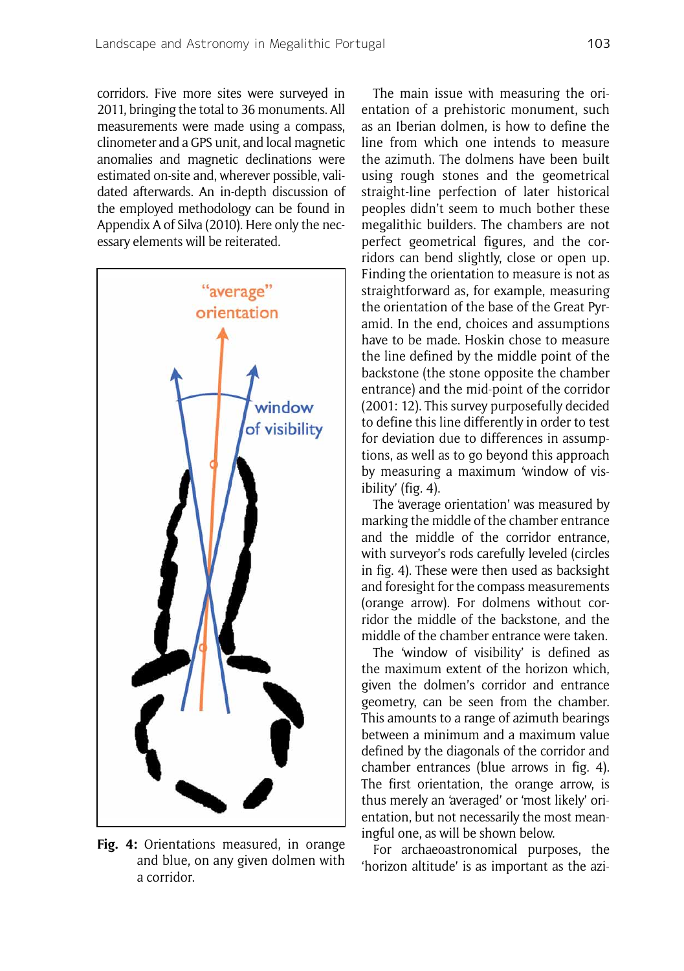corridors. Five more sites were surveyed in 2011, bringing the total to 36 monuments. All measurements were made using a compass, clinometer and a GPS unit, and local magnetic anomalies and magnetic declinations were estimated on-site and, wherever possible, validated afterwards. An in-depth discussion of the employed methodology can be found in Appendix A of Silva (2010). Here only the necessary elements will be reiterated.



**Fig. 4:** Orientations measured, in orange and blue, on any given dolmen with a corridor.

The main issue with measuring the orientation of a prehistoric monument, such as an Iberian dolmen, is how to define the line from which one intends to measure the azimuth. The dolmens have been built using rough stones and the geometrical straight-line perfection of later historical peoples didn't seem to much bother these megalithic builders. The chambers are not perfect geometrical figures, and the corridors can bend slightly, close or open up. Finding the orientation to measure is not as straightforward as, for example, measuring the orientation of the base of the Great Pyramid. In the end, choices and assumptions have to be made. Hoskin chose to measure the line defined by the middle point of the backstone (the stone opposite the chamber entrance) and the mid-point of the corridor (2001: 12). This survey purposefully decided to define this line differently in order to test for deviation due to differences in assumptions, as well as to go beyond this approach by measuring a maximum 'window of visibility' (fig. 4).

The 'average orientation' was measured by marking the middle of the chamber entrance and the middle of the corridor entrance, with surveyor's rods carefully leveled (circles in fig. 4). These were then used as backsight and foresight for the compass measurements (orange arrow). For dolmens without corridor the middle of the backstone, and the middle of the chamber entrance were taken.

The 'window of visibility' is defined as the maximum extent of the horizon which, given the dolmen's corridor and entrance geometry, can be seen from the chamber. This amounts to a range of azimuth bearings between a minimum and a maximum value defined by the diagonals of the corridor and chamber entrances (blue arrows in fig. 4). The first orientation, the orange arrow, is thus merely an 'averaged' or 'most likely' orientation, but not necessarily the most meaningful one, as will be shown below.

For archaeoastronomical purposes, the 'horizon altitude' is as important as the azi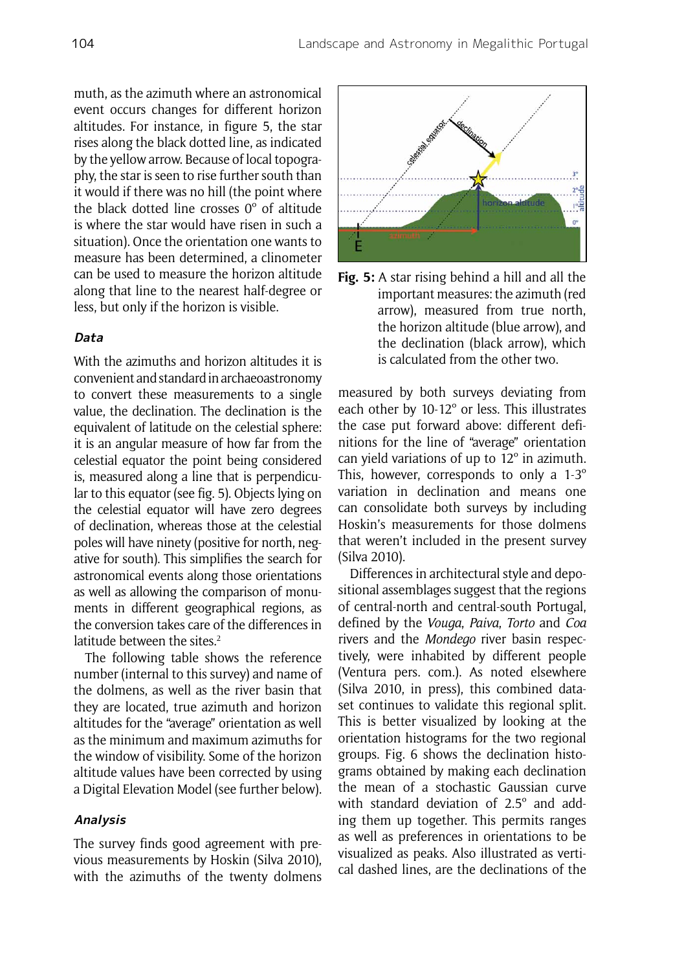muth, as the azimuth where an astronomical event occurs changes for different horizon altitudes. For instance, in figure 5, the star rises along the black dotted line, as indicated by the yellow arrow. Because of local topography, the star is seen to rise further south than it would if there was no hill (the point where the black dotted line crosses 0º of altitude is where the star would have risen in such a situation). Once the orientation one wants to measure has been determined, a clinometer can be used to measure the horizon altitude along that line to the nearest half-degree or less, but only if the horizon is visible.

## **Data**

With the azimuths and horizon altitudes it is convenient and standard in archaeoastronomy to convert these measurements to a single value, the declination. The declination is the equivalent of latitude on the celestial sphere: it is an angular measure of how far from the celestial equator the point being considered is, measured along a line that is perpendicular to this equator (see fig. 5). Objects lying on the celestial equator will have zero degrees of declination, whereas those at the celestial poles will have ninety (positive for north, negative for south). This simplifies the search for astronomical events along those orientations as well as allowing the comparison of monuments in different geographical regions, as the conversion takes care of the differences in latitude between the sites.<sup>2</sup>

The following table shows the reference number (internal to this survey) and name of the dolmens, as well as the river basin that they are located, true azimuth and horizon altitudes for the "average" orientation as well as the minimum and maximum azimuths for the window of visibility. Some of the horizon altitude values have been corrected by using a Digital Elevation Model (see further below).

#### **Analysis**

The survey finds good agreement with previous measurements by Hoskin (Silva 2010), with the azimuths of the twenty dolmens



**Fig. 5:** A star rising behind a hill and all the important measures: the azimuth (red arrow), measured from true north, the horizon altitude (blue arrow), and the declination (black arrow), which is calculated from the other two.

measured by both surveys deviating from each other by 10-12º or less. This illustrates the case put forward above: different definitions for the line of "average" orientation can yield variations of up to 12º in azimuth. This, however, corresponds to only a 1-3º variation in declination and means one can consolidate both surveys by including Hoskin's measurements for those dolmens that weren't included in the present survey (Silva 2010).

Differences in architectural style and depositional assemblages suggest that the regions of central-north and central-south Portugal, defined by the *Vouga*, *Paiva*, *Torto* and *Coa* rivers and the *Mondego* river basin respectively, were inhabited by different people (Ventura pers. com.). As noted elsewhere (Silva 2010, in press), this combined dataset continues to validate this regional split. This is better visualized by looking at the orientation histograms for the two regional groups. Fig. 6 shows the declination histograms obtained by making each declination the mean of a stochastic Gaussian curve with standard deviation of 2.5º and adding them up together. This permits ranges as well as preferences in orientations to be visualized as peaks. Also illustrated as vertical dashed lines, are the declinations of the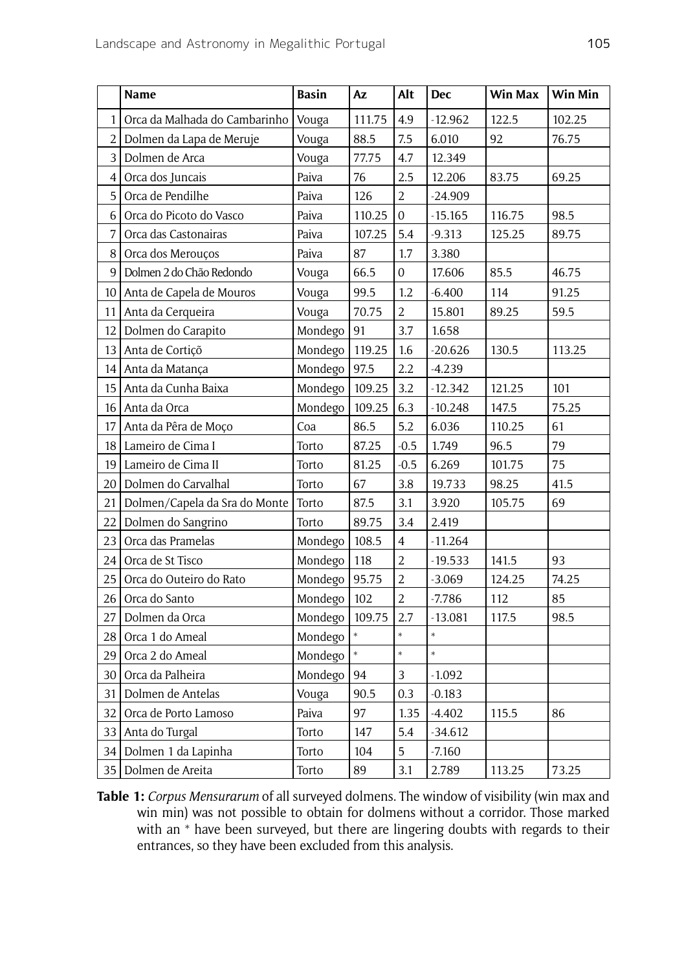|                | Name                          | <b>Basin</b> | Az     | Alt              | <b>Dec</b> | Win Max | Win Min |
|----------------|-------------------------------|--------------|--------|------------------|------------|---------|---------|
| $\mathbf{1}$   | Orca da Malhada do Cambarinho | Vouga        | 111.75 | 4.9              | $-12.962$  | 122.5   | 102.25  |
| 2              | Dolmen da Lapa de Meruje      | Vouga        | 88.5   | 7.5              | 6.010      | 92      | 76.75   |
| 3              | Dolmen de Arca                | Vouga        | 77.75  | 4.7              | 12.349     |         |         |
| 4              | Orca dos Juncais              | Paiva        | 76     | 2.5              | 12.206     | 83.75   | 69.25   |
| 5              | Orca de Pendilhe              | Paiva        | 126    | $\overline{c}$   | -24.909    |         |         |
| 6              | Orca do Picoto do Vasco       | Paiva        | 110.25 | $\mathbf{0}$     | -15.165    | 116.75  | 98.5    |
| $\overline{7}$ | Orca das Castonairas          | Paiva        | 107.25 | 5.4              | $-9.313$   | 125.25  | 89.75   |
| 8              | Orca dos Merouços             | Paiva        | 87     | 1.7              | 3.380      |         |         |
| 9              | Dolmen 2 do Chão Redondo      | Vouga        | 66.5   | $\boldsymbol{0}$ | 17.606     | 85.5    | 46.75   |
| 10             | Anta de Capela de Mouros      | Vouga        | 99.5   | 1.2              | $-6.400$   | 114     | 91.25   |
| 11             | Anta da Cerqueira             | Vouga        | 70.75  | $\overline{2}$   | 15.801     | 89.25   | 59.5    |
| 12             | Dolmen do Carapito            | Mondego      | 91     | 3.7              | 1.658      |         |         |
| 13             | Anta de Cortiçõ               | Mondego      | 119.25 | 1.6              | $-20.626$  | 130.5   | 113.25  |
| 14             | Anta da Matança               | Mondego      | 97.5   | 2.2              | -4.239     |         |         |
| 15             | Anta da Cunha Baixa           | Mondego      | 109.25 | 3.2              | $-12.342$  | 121.25  | 101     |
| 16             | Anta da Orca                  | Mondego      | 109.25 | 6.3              | $-10.248$  | 147.5   | 75.25   |
| 17             | Anta da Pêra de Moço          | Coa          | 86.5   | 5.2              | 6.036      | 110.25  | 61      |
| 18             | Lameiro de Cima I             | Torto        | 87.25  | $-0.5$           | 1.749      | 96.5    | 79      |
| 19             | Lameiro de Cima II            | Torto        | 81.25  | $-0.5$           | 6.269      | 101.75  | 75      |
| 20             | Dolmen do Carvalhal           | Torto        | 67     | 3.8              | 19.733     | 98.25   | 41.5    |
| 21             | Dolmen/Capela da Sra do Monte | Torto        | 87.5   | 3.1              | 3.920      | 105.75  | 69      |
| 22             | Dolmen do Sangrino            | Torto        | 89.75  | 3.4              | 2.419      |         |         |
| 23             | Orca das Pramelas             | Mondego      | 108.5  | 4                | -11.264    |         |         |
| 24             | Orca de St Tisco              | Mondego      | 118    | $\overline{2}$   | $-19.533$  | 141.5   | 93      |
| 25             | Orca do Outeiro do Rato       | Mondego      | 95.75  | $\overline{2}$   | $-3.069$   | 124.25  | 74.25   |
| 26             | Orca do Santo                 | Mondego      | 102    | $\overline{2}$   | $-7.786$   | 112     | 85      |
| 27             | Dolmen da Orca                | Mondego      | 109.75 | 2.7              | $-13.081$  | 117.5   | 98.5    |
| 28             | Orca 1 do Ameal               | Mondego      | $\ast$ | $\ast$           | $\ast$     |         |         |
| 29             | Orca 2 do Ameal               | Mondego      | $\ast$ | $\ast$           | *          |         |         |
| 30             | Orca da Palheira              | Mondego      | 94     | 3                | $-1.092$   |         |         |
| 31             | Dolmen de Antelas             | Vouga        | 90.5   | 0.3              | $-0.183$   |         |         |
| 32             | Orca de Porto Lamoso          | Paiva        | 97     | 1.35             | $-4.402$   | 115.5   | 86      |
| 33             | Anta do Turgal                | Torto        | 147    | 5.4              | $-34.612$  |         |         |
| 34             | Dolmen 1 da Lapinha           | Torto        | 104    | 5                | $-7.160$   |         |         |
| 35             | Dolmen de Areita              | Torto        | 89     | 3.1              | 2.789      | 113.25  | 73.25   |

**Table 1:** *Corpus Mensurarum* of all surveyed dolmens. The window of visibility (win max and win min) was not possible to obtain for dolmens without a corridor. Those marked with an \* have been surveyed, but there are lingering doubts with regards to their entrances, so they have been excluded from this analysis.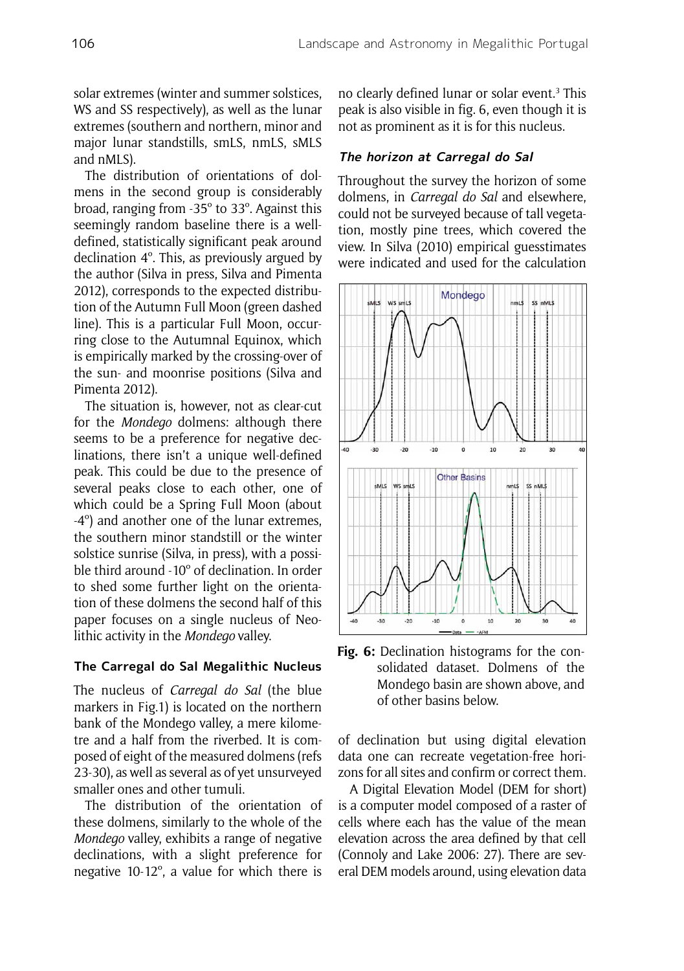solar extremes (winter and summer solstices, WS and SS respectively), as well as the lunar extremes (southern and northern, minor and major lunar standstills, smLS, nmLS, sMLS and nMLS).

The distribution of orientations of dolmens in the second group is considerably broad, ranging from -35º to 33º. Against this seemingly random baseline there is a welldefined, statistically significant peak around declination 4º. This, as previously argued by the author (Silva in press, Silva and Pimenta 2012), corresponds to the expected distribution of the Autumn Full Moon (green dashed line). This is a particular Full Moon, occurring close to the Autumnal Equinox, which is empirically marked by the crossing-over of the sun- and moonrise positions (Silva and Pimenta 2012).

The situation is, however, not as clear-cut for the *Mondego* dolmens: although there seems to be a preference for negative declinations, there isn't a unique well-defined peak. This could be due to the presence of several peaks close to each other, one of which could be a Spring Full Moon (about -4º) and another one of the lunar extremes, the southern minor standstill or the winter solstice sunrise (Silva, in press), with a possible third around -10º of declination. In order to shed some further light on the orientation of these dolmens the second half of this paper focuses on a single nucleus of Neolithic activity in the *Mondego* valley.

## **The Carregal do Sal Megalithic Nucleus**

The nucleus of *Carregal do Sal* (the blue markers in Fig.1) is located on the northern bank of the Mondego valley, a mere kilometre and a half from the riverbed. It is composed of eight of the measured dolmens (refs 23-30), as well as several as of yet unsurveyed smaller ones and other tumuli.

The distribution of the orientation of these dolmens, similarly to the whole of the *Mondego* valley, exhibits a range of negative declinations, with a slight preference for negative 10-12º, a value for which there is

no clearly defined lunar or solar event.<sup>3</sup> This peak is also visible in fig. 6, even though it is not as prominent as it is for this nucleus.

## **The horizon at Carregal do Sal**

Throughout the survey the horizon of some dolmens, in *Carregal do Sal* and elsewhere, could not be surveyed because of tall vegetation, mostly pine trees, which covered the view. In Silva (2010) empirical guesstimates were indicated and used for the calculation



**Fig. 6:** Declination histograms for the consolidated dataset. Dolmens of the Mondego basin are shown above, and of other basins below.

of declination but using digital elevation data one can recreate vegetation-free horizons for all sites and confirm or correct them.

A Digital Elevation Model (DEM for short) is a computer model composed of a raster of cells where each has the value of the mean elevation across the area defined by that cell (Connoly and Lake 2006: 27). There are several DEM models around, using elevation data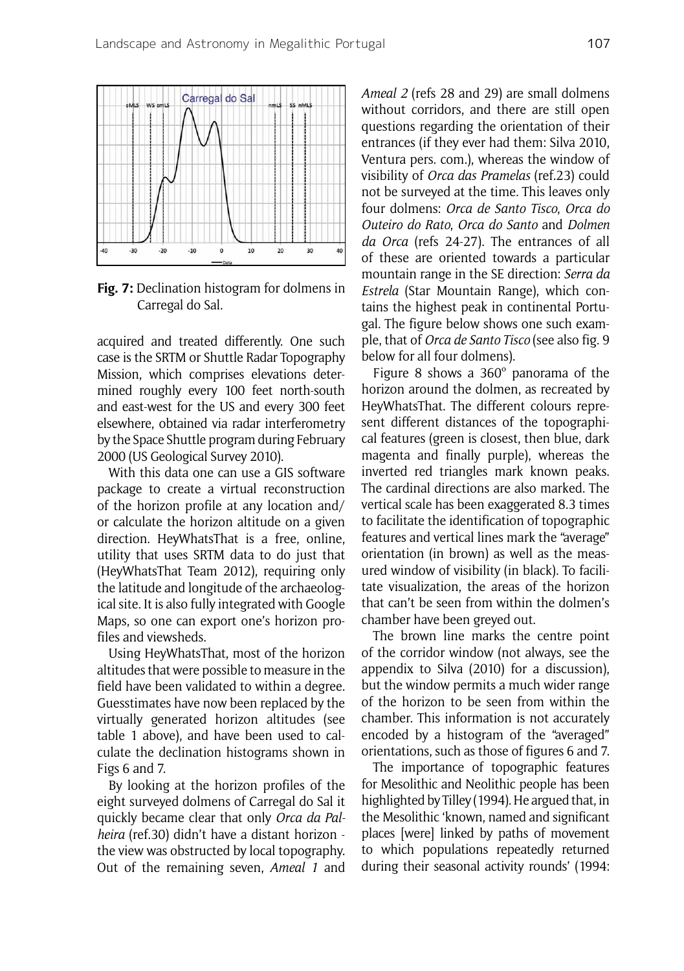

**Fig. 7:** Declination histogram for dolmens in Carregal do Sal.

acquired and treated differently. One such case is the SRTM or Shuttle Radar Topography Mission, which comprises elevations determined roughly every 100 feet north-south and east-west for the US and every 300 feet elsewhere, obtained via radar interferometry by the Space Shuttle program during February 2000 (US Geological Survey 2010).

With this data one can use a GIS software package to create a virtual reconstruction of the horizon profile at any location and/ or calculate the horizon altitude on a given direction. HeyWhatsThat is a free, online, utility that uses SRTM data to do just that (HeyWhatsThat Team 2012), requiring only the latitude and longitude of the archaeological site. It is also fully integrated with Google Maps, so one can export one's horizon profiles and viewsheds.

Using HeyWhatsThat, most of the horizon altitudes that were possible to measure in the field have been validated to within a degree. Guesstimates have now been replaced by the virtually generated horizon altitudes (see table 1 above), and have been used to calculate the declination histograms shown in Figs 6 and 7.

By looking at the horizon profiles of the eight surveyed dolmens of Carregal do Sal it quickly became clear that only *Orca da Palheira* (ref.30) didn't have a distant horizon the view was obstructed by local topography. Out of the remaining seven, *Ameal 1* and *Ameal 2* (refs 28 and 29) are small dolmens without corridors, and there are still open questions regarding the orientation of their entrances (if they ever had them: Silva 2010, Ventura pers. com.), whereas the window of visibility of *Orca das Pramelas* (ref.23) could not be surveyed at the time. This leaves only four dolmens: *Orca de Santo Tisco*, *Orca do Outeiro do Rato*, *Orca do Santo* and *Dolmen da Orca* (refs 24-27). The entrances of all of these are oriented towards a particular mountain range in the SE direction: *Serra da Estrela* (Star Mountain Range), which contains the highest peak in continental Portugal. The figure below shows one such example, that of *Orca de Santo Tisco* (see also fig. 9 below for all four dolmens).

Figure 8 shows a 360º panorama of the horizon around the dolmen, as recreated by HeyWhatsThat. The different colours represent different distances of the topographical features (green is closest, then blue, dark magenta and finally purple), whereas the inverted red triangles mark known peaks. The cardinal directions are also marked. The vertical scale has been exaggerated 8.3 times to facilitate the identification of topographic features and vertical lines mark the "average" orientation (in brown) as well as the measured window of visibility (in black). To facilitate visualization, the areas of the horizon that can't be seen from within the dolmen's chamber have been greyed out.

The brown line marks the centre point of the corridor window (not always, see the appendix to Silva (2010) for a discussion), but the window permits a much wider range of the horizon to be seen from within the chamber. This information is not accurately encoded by a histogram of the "averaged" orientations, such as those of figures 6 and 7.

The importance of topographic features for Mesolithic and Neolithic people has been highlighted by Tilley (1994). He argued that, in the Mesolithic 'known, named and significant places [were] linked by paths of movement to which populations repeatedly returned during their seasonal activity rounds' (1994: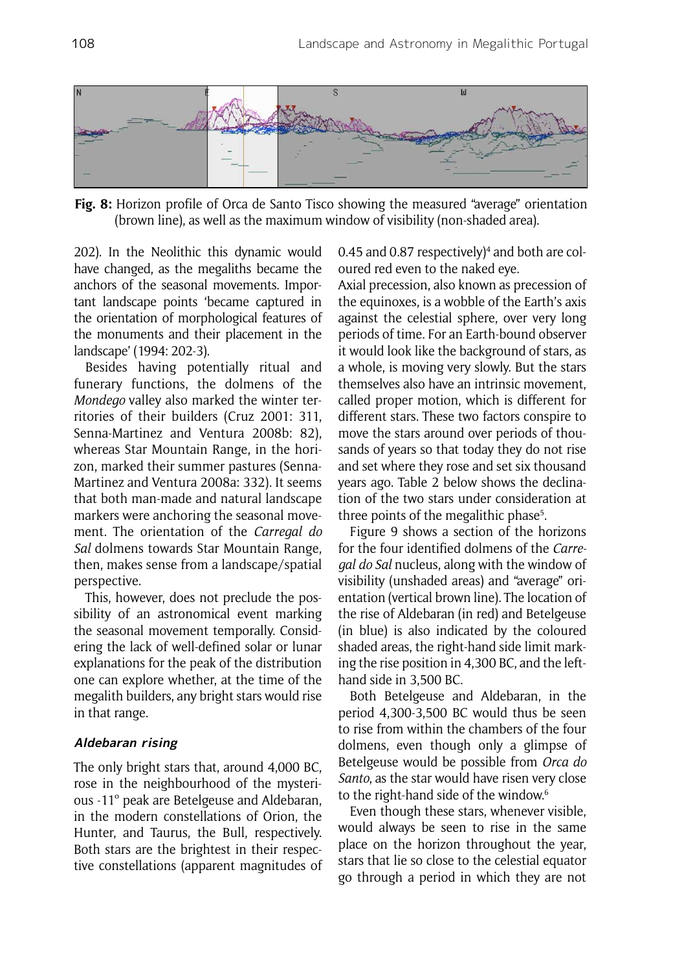

**Fig. 8:** Horizon profile of Orca de Santo Tisco showing the measured "average" orientation (brown line), as well as the maximum window of visibility (non-shaded area).

202). In the Neolithic this dynamic would have changed, as the megaliths became the anchors of the seasonal movements. Important landscape points 'became captured in the orientation of morphological features of the monuments and their placement in the landscape' (1994: 202-3).

Besides having potentially ritual and funerary functions, the dolmens of the *Mondego* valley also marked the winter territories of their builders (Cruz 2001: 311, Senna-Martinez and Ventura 2008b: 82), whereas Star Mountain Range, in the horizon, marked their summer pastures (Senna-Martinez and Ventura 2008a: 332). It seems that both man-made and natural landscape markers were anchoring the seasonal movement. The orientation of the *Carregal do Sal* dolmens towards Star Mountain Range, then, makes sense from a landscape/spatial perspective.

This, however, does not preclude the possibility of an astronomical event marking the seasonal movement temporally. Considering the lack of well-defined solar or lunar explanations for the peak of the distribution one can explore whether, at the time of the megalith builders, any bright stars would rise in that range.

## **Aldebaran rising**

The only bright stars that, around 4,000 BC, rose in the neighbourhood of the mysterious -11º peak are Betelgeuse and Aldebaran, in the modern constellations of Orion, the Hunter, and Taurus, the Bull, respectively. Both stars are the brightest in their respective constellations (apparent magnitudes of

0.45 and 0.87 respectively) $4$  and both are coloured red even to the naked eye.

Axial precession, also known as precession of the equinoxes, is a wobble of the Earth's axis against the celestial sphere, over very long periods of time. For an Earth-bound observer it would look like the background of stars, as a whole, is moving very slowly. But the stars themselves also have an intrinsic movement, called proper motion, which is different for different stars. These two factors conspire to move the stars around over periods of thousands of years so that today they do not rise and set where they rose and set six thousand years ago. Table 2 below shows the declination of the two stars under consideration at three points of the megalithic phase<sup>5</sup>.

Figure 9 shows a section of the horizons for the four identified dolmens of the *Carregal do Sal* nucleus, along with the window of visibility (unshaded areas) and "average" orientation (vertical brown line). The location of the rise of Aldebaran (in red) and Betelgeuse (in blue) is also indicated by the coloured shaded areas, the right-hand side limit marking the rise position in 4,300 BC, and the lefthand side in 3,500 BC.

Both Betelgeuse and Aldebaran, in the period 4,300-3,500 BC would thus be seen to rise from within the chambers of the four dolmens, even though only a glimpse of Betelgeuse would be possible from *Orca do Santo*, as the star would have risen very close to the right-hand side of the window.6

Even though these stars, whenever visible, would always be seen to rise in the same place on the horizon throughout the year, stars that lie so close to the celestial equator go through a period in which they are not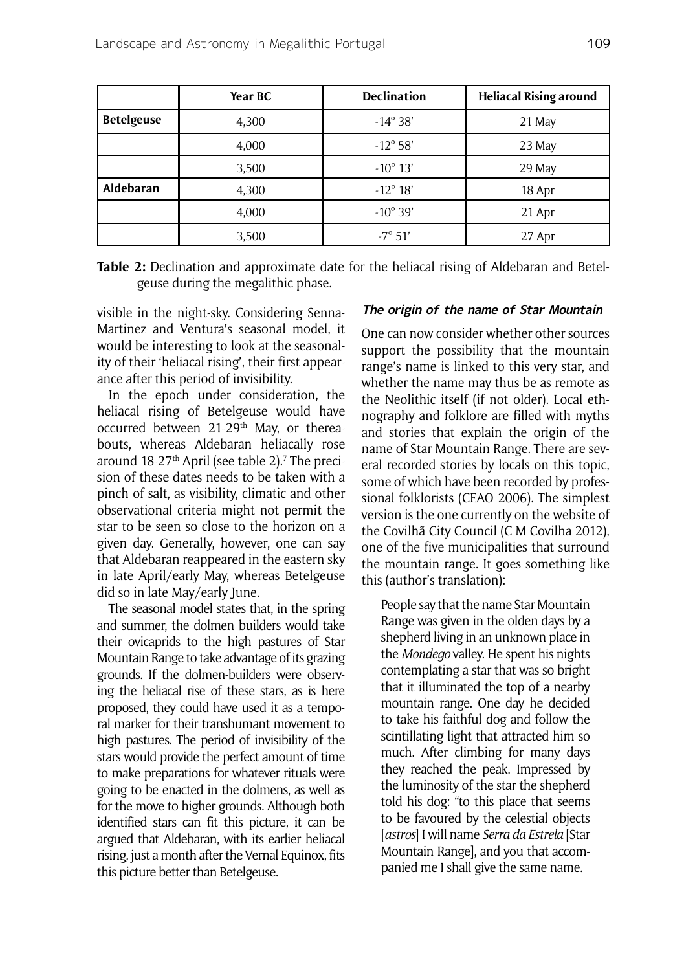|                   | Year BC | <b>Declination</b> | <b>Heliacal Rising around</b> |
|-------------------|---------|--------------------|-------------------------------|
| <b>Betelgeuse</b> | 4,300   | $-14^{\circ}38'$   | 21 May                        |
|                   | 4,000   | $-12^{\circ} 58'$  | 23 May                        |
|                   | 3,500   | $-10^{\circ}$ 13'  | 29 May                        |
| <b>Aldebaran</b>  | 4,300   | $-12^{\circ} 18'$  | 18 Apr                        |
|                   | 4,000   | $-10^{\circ}$ 39'  | 21 Apr                        |
|                   | 3,500   | $-7^{\circ} 51'$   | 27 Apr                        |

**Table 2:** Declination and approximate date for the heliacal rising of Aldebaran and Betelgeuse during the megalithic phase.

visible in the night-sky. Considering Senna-Martinez and Ventura's seasonal model, it would be interesting to look at the seasonality of their 'heliacal rising', their first appearance after this period of invisibility.

In the epoch under consideration, the heliacal rising of Betelgeuse would have occurred between 21-29<sup>th</sup> May, or thereabouts, whereas Aldebaran heliacally rose around 18-27th April (see table 2).<sup>7</sup> The precision of these dates needs to be taken with a pinch of salt, as visibility, climatic and other observational criteria might not permit the star to be seen so close to the horizon on a given day. Generally, however, one can say that Aldebaran reappeared in the eastern sky in late April/early May, whereas Betelgeuse did so in late May/early June.

The seasonal model states that, in the spring and summer, the dolmen builders would take their ovicaprids to the high pastures of Star Mountain Range to take advantage of its grazing grounds. If the dolmen-builders were observing the heliacal rise of these stars, as is here proposed, they could have used it as a temporal marker for their transhumant movement to high pastures. The period of invisibility of the stars would provide the perfect amount of time to make preparations for whatever rituals were going to be enacted in the dolmens, as well as for the move to higher grounds. Although both identified stars can fit this picture, it can be argued that Aldebaran, with its earlier heliacal rising, just a month after the Vernal Equinox, fits this picture better than Betelgeuse.

## **The origin of the name of Star Mountain**

One can now consider whether other sources support the possibility that the mountain range's name is linked to this very star, and whether the name may thus be as remote as the Neolithic itself (if not older). Local ethnography and folklore are filled with myths and stories that explain the origin of the name of Star Mountain Range. There are several recorded stories by locals on this topic, some of which have been recorded by professional folklorists (CEAO 2006). The simplest version is the one currently on the website of the Covilhã City Council (C M Covilha 2012), one of the five municipalities that surround the mountain range. It goes something like this (author's translation):

People say that the name Star Mountain Range was given in the olden days by a shepherd living in an unknown place in the *Mondego* valley. He spent his nights contemplating a star that was so bright that it illuminated the top of a nearby mountain range. One day he decided to take his faithful dog and follow the scintillating light that attracted him so much. After climbing for many days they reached the peak. Impressed by the luminosity of the star the shepherd told his dog: "to this place that seems to be favoured by the celestial objects [*astros*] I will name *Serra da Estrela* [Star Mountain Range], and you that accompanied me I shall give the same name.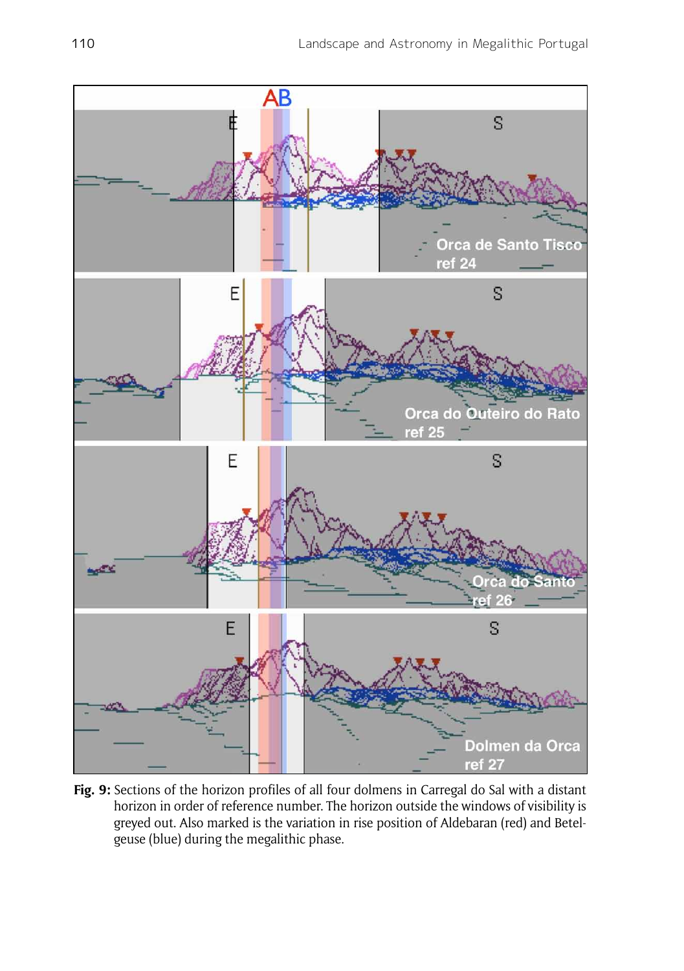

**Fig. 9:** Sections of the horizon profiles of all four dolmens in Carregal do Sal with a distant horizon in order of reference number. The horizon outside the windows of visibility is greyed out. Also marked is the variation in rise position of Aldebaran (red) and Betelgeuse (blue) during the megalithic phase.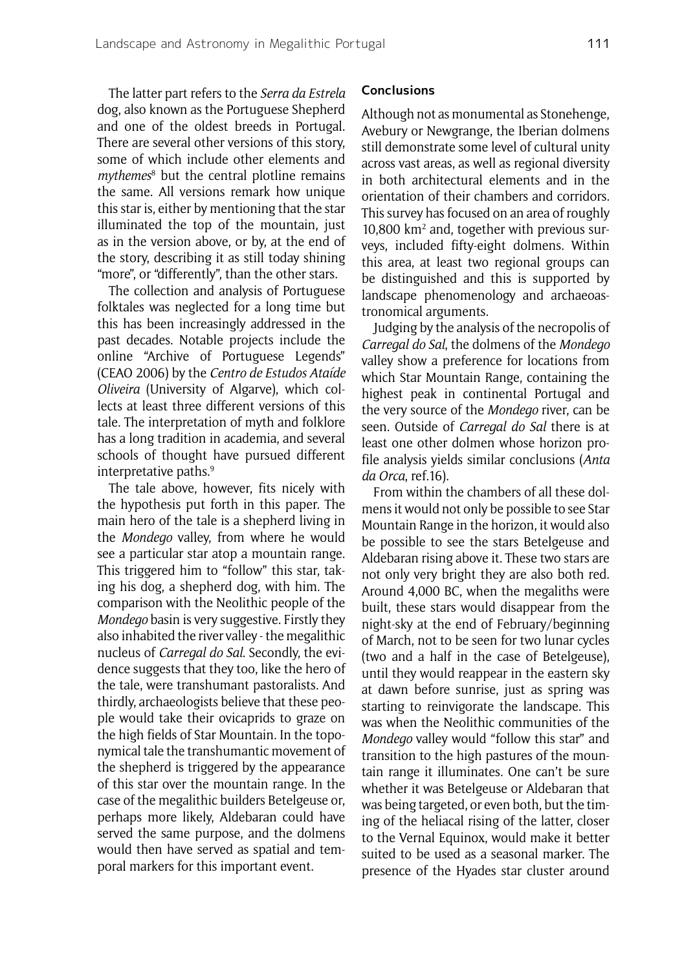The latter part refers to the *Serra da Estrela*  dog, also known as the Portuguese Shepherd and one of the oldest breeds in Portugal. There are several other versions of this story, some of which include other elements and mythemes<sup>8</sup> but the central plotline remains the same. All versions remark how unique this star is, either by mentioning that the star illuminated the top of the mountain, just as in the version above, or by, at the end of the story, describing it as still today shining "more", or "differently", than the other stars.

The collection and analysis of Portuguese folktales was neglected for a long time but this has been increasingly addressed in the past decades. Notable projects include the online "Archive of Portuguese Legends" (CEAO 2006) by the *Centro de Estudos Ataíde Oliveira* (University of Algarve), which collects at least three different versions of this tale. The interpretation of myth and folklore has a long tradition in academia, and several schools of thought have pursued different interpretative paths.<sup>9</sup>

The tale above, however, fits nicely with the hypothesis put forth in this paper. The main hero of the tale is a shepherd living in the *Mondego* valley, from where he would see a particular star atop a mountain range. This triggered him to "follow" this star, taking his dog, a shepherd dog, with him. The comparison with the Neolithic people of the *Mondego* basin is very suggestive. Firstly they also inhabited the river valley - the megalithic nucleus of *Carregal do Sal*. Secondly, the evidence suggests that they too, like the hero of the tale, were transhumant pastoralists. And thirdly, archaeologists believe that these people would take their ovicaprids to graze on the high fields of Star Mountain. In the toponymical tale the transhumantic movement of the shepherd is triggered by the appearance of this star over the mountain range. In the case of the megalithic builders Betelgeuse or, perhaps more likely, Aldebaran could have served the same purpose, and the dolmens would then have served as spatial and temporal markers for this important event.

#### **Conclusions**

Although not as monumental as Stonehenge, Avebury or Newgrange, the Iberian dolmens still demonstrate some level of cultural unity across vast areas, as well as regional diversity in both architectural elements and in the orientation of their chambers and corridors. This survey has focused on an area of roughly 10,800 km2 and, together with previous surveys, included fifty-eight dolmens. Within this area, at least two regional groups can be distinguished and this is supported by landscape phenomenology and archaeoastronomical arguments.

Judging by the analysis of the necropolis of *Carregal do Sal*, the dolmens of the *Mondego* valley show a preference for locations from which Star Mountain Range, containing the highest peak in continental Portugal and the very source of the *Mondego* river, can be seen. Outside of *Carregal do Sal* there is at least one other dolmen whose horizon profile analysis yields similar conclusions (*Anta da Orca*, ref.16).

From within the chambers of all these dolmens it would not only be possible to see Star Mountain Range in the horizon, it would also be possible to see the stars Betelgeuse and Aldebaran rising above it. These two stars are not only very bright they are also both red. Around 4,000 BC, when the megaliths were built, these stars would disappear from the night-sky at the end of February/beginning of March, not to be seen for two lunar cycles (two and a half in the case of Betelgeuse), until they would reappear in the eastern sky at dawn before sunrise, just as spring was starting to reinvigorate the landscape. This was when the Neolithic communities of the *Mondego* valley would "follow this star" and transition to the high pastures of the mountain range it illuminates. One can't be sure whether it was Betelgeuse or Aldebaran that was being targeted, or even both, but the timing of the heliacal rising of the latter, closer to the Vernal Equinox, would make it better suited to be used as a seasonal marker. The presence of the Hyades star cluster around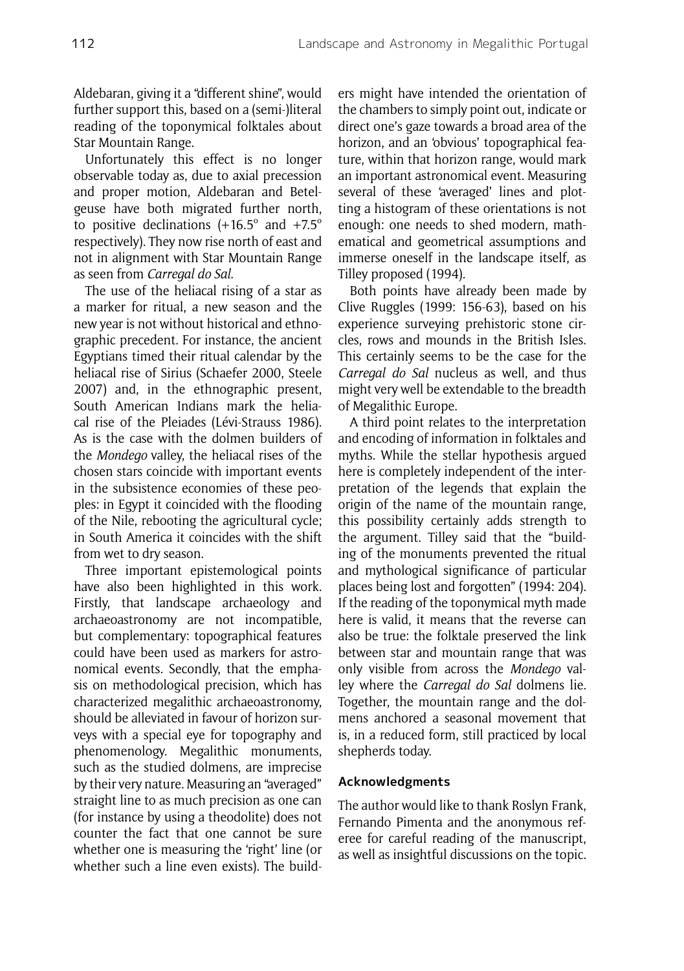Aldebaran, giving it a "different shine", would further support this, based on a (semi-)literal reading of the toponymical folktales about Star Mountain Range.

Unfortunately this effect is no longer observable today as, due to axial precession and proper motion, Aldebaran and Betelgeuse have both migrated further north, to positive declinations  $(+16.5^{\circ}$  and  $+7.5^{\circ}$ respectively). They now rise north of east and not in alignment with Star Mountain Range as seen from *Carregal do Sal*.

The use of the heliacal rising of a star as a marker for ritual, a new season and the new year is not without historical and ethnographic precedent. For instance, the ancient Egyptians timed their ritual calendar by the heliacal rise of Sirius (Schaefer 2000, Steele 2007) and, in the ethnographic present, South American Indians mark the heliacal rise of the Pleiades (Lévi-Strauss 1986). As is the case with the dolmen builders of the *Mondego* valley, the heliacal rises of the chosen stars coincide with important events in the subsistence economies of these peoples: in Egypt it coincided with the flooding of the Nile, rebooting the agricultural cycle; in South America it coincides with the shift from wet to dry season.

Three important epistemological points have also been highlighted in this work. Firstly, that landscape archaeology and archaeoastronomy are not incompatible, but complementary: topographical features could have been used as markers for astronomical events. Secondly, that the emphasis on methodological precision, which has characterized megalithic archaeoastronomy, should be alleviated in favour of horizon surveys with a special eye for topography and phenomenology. Megalithic monuments, such as the studied dolmens, are imprecise by their very nature. Measuring an "averaged" straight line to as much precision as one can (for instance by using a theodolite) does not counter the fact that one cannot be sure whether one is measuring the 'right' line (or whether such a line even exists). The builders might have intended the orientation of the chambers to simply point out, indicate or direct one's gaze towards a broad area of the horizon, and an 'obvious' topographical feature, within that horizon range, would mark an important astronomical event. Measuring several of these 'averaged' lines and plotting a histogram of these orientations is not enough: one needs to shed modern, mathematical and geometrical assumptions and immerse oneself in the landscape itself, as Tilley proposed (1994).

Both points have already been made by Clive Ruggles (1999: 156-63), based on his experience surveying prehistoric stone circles, rows and mounds in the British Isles. This certainly seems to be the case for the *Carregal do Sal* nucleus as well, and thus might very well be extendable to the breadth of Megalithic Europe.

A third point relates to the interpretation and encoding of information in folktales and myths. While the stellar hypothesis argued here is completely independent of the interpretation of the legends that explain the origin of the name of the mountain range, this possibility certainly adds strength to the argument. Tilley said that the "building of the monuments prevented the ritual and mythological significance of particular places being lost and forgotten" (1994: 204). If the reading of the toponymical myth made here is valid, it means that the reverse can also be true: the folktale preserved the link between star and mountain range that was only visible from across the *Mondego* valley where the *Carregal do Sal* dolmens lie. Together, the mountain range and the dolmens anchored a seasonal movement that is, in a reduced form, still practiced by local shepherds today.

#### **Acknowledgments**

The author would like to thank Roslyn Frank, Fernando Pimenta and the anonymous referee for careful reading of the manuscript, as well as insightful discussions on the topic.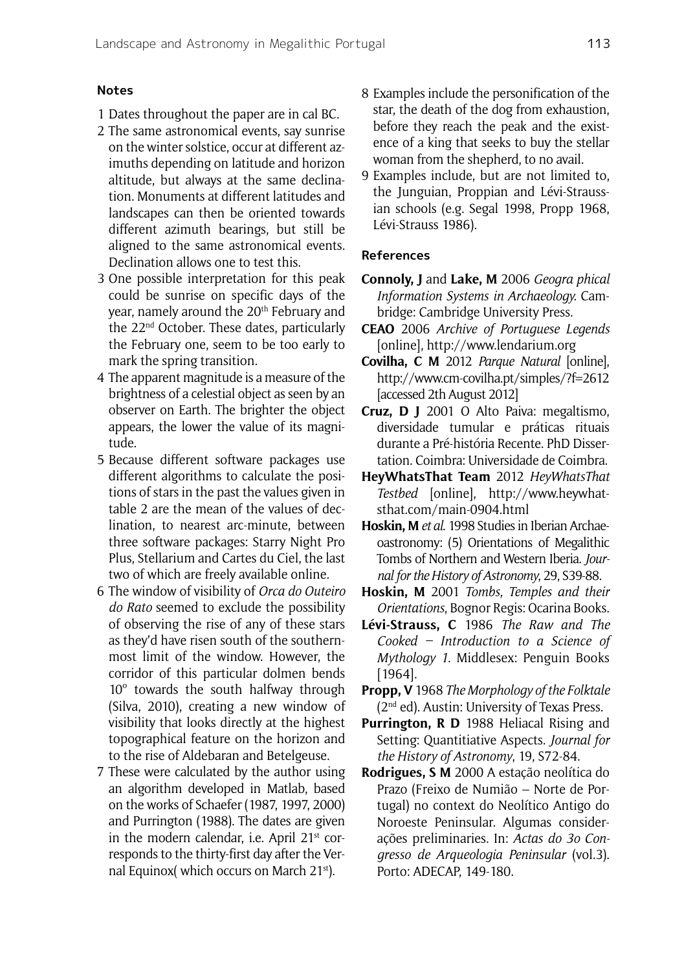### **Notes**

- 1 Dates throughout the paper are in cal BC.
- 2 The same astronomical events, say sunrise on the winter solstice, occur at different azimuths depending on latitude and horizon altitude, but always at the same declination. Monuments at different latitudes and landscapes can then be oriented towards different azimuth bearings, but still be aligned to the same astronomical events. Declination allows one to test this.
- 3 One possible interpretation for this peak could be sunrise on specific days of the year, namely around the 20<sup>th</sup> February and the 22nd October. These dates, particularly the February one, seem to be too early to mark the spring transition.
- 4 The apparent magnitude is a measure of the brightness of a celestial object as seen by an observer on Earth. The brighter the object appears, the lower the value of its magnitude.
- 5 Because different software packages use different algorithms to calculate the positions of stars in the past the values given in table 2 are the mean of the values of declination, to nearest arc-minute, between three software packages: Starry Night Pro Plus, Stellarium and Cartes du Ciel, the last two of which are freely available online.
- 6 The window of visibility of *Orca do Outeiro do Rato* seemed to exclude the possibility of observing the rise of any of these stars as they'd have risen south of the southernmost limit of the window. However, the corridor of this particular dolmen bends 10º towards the south halfway through (Silva, 2010), creating a new window of visibility that looks directly at the highest topographical feature on the horizon and to the rise of Aldebaran and Betelgeuse.
- 7 These were calculated by the author using an algorithm developed in Matlab, based on the works of Schaefer (1987, 1997, 2000) and Purrington (1988). The dates are given in the modern calendar, i.e. April 21<sup>st</sup> corresponds to the thirty-first day after the Vernal Equinox( which occurs on March 21st).
- 8 Examples include the personification of the star, the death of the dog from exhaustion, before they reach the peak and the existence of a king that seeks to buy the stellar woman from the shepherd, to no avail.
- 9 Examples include, but are not limited to, the Junguian, Proppian and Lévi-Straussian schools (e.g. Segal 1998, Propp 1968, Lévi-Strauss 1986).

## **References**

- **Connoly, J** and **Lake, M** 2006 *Geogra phical Information Systems in Archaeology.* Cambridge: Cambridge University Press.
- **CEAO** 2006 *Archive of Portuguese Legends* [online], http://www.lendarium.org
- **Covilha, C M** 2012 *Parque Natural* [online], http://www.cm-covilha.pt/simples/?f=2612 [accessed 2th August 2012]
- **Cruz, D J** 2001 O Alto Paiva: megaltismo, diversidade tumular e práticas rituais durante a Pré-história Recente. PhD Dissertation. Coimbra: Universidade de Coimbra.
- **HeyWhatsThat Team** 2012 *HeyWhatsThat Testbed* [online], http://www.heywhatsthat.com/main-0904.html
- **Hoskin, M** *et al*. 1998 Studies in Iberian Archaeoastronomy: (5) Orientations of Megalithic Tombs of Northern and Western Iberia. *Journal for the History of Astronomy*, 29, S39-88.
- **Hoskin, M** 2001 *Tombs, Temples and their Orientations*, Bognor Regis: Ocarina Books.
- **Lévi-Strauss, C** 1986 *The Raw and The Cooked – Introduction to a Science of Mythology 1.* Middlesex: Penguin Books [1964].
- **Propp, V** 1968 *The Morphology of the Folktale* (2nd ed). Austin: University of Texas Press.
- **Purrington, R D** 1988 Heliacal Rising and Setting: Quantitiative Aspects. *Journal for the History of Astronomy*, 19, S72-84.
- **Rodrigues, S M** 2000 A estação neolítica do Prazo (Freixo de Numião – Norte de Portugal) no context do Neolítico Antigo do Noroeste Peninsular. Algumas considerações preliminaries. In: *Actas do 3o Congresso de Arqueologia Peninsular* (vol.3). Porto: ADECAP, 149-180.